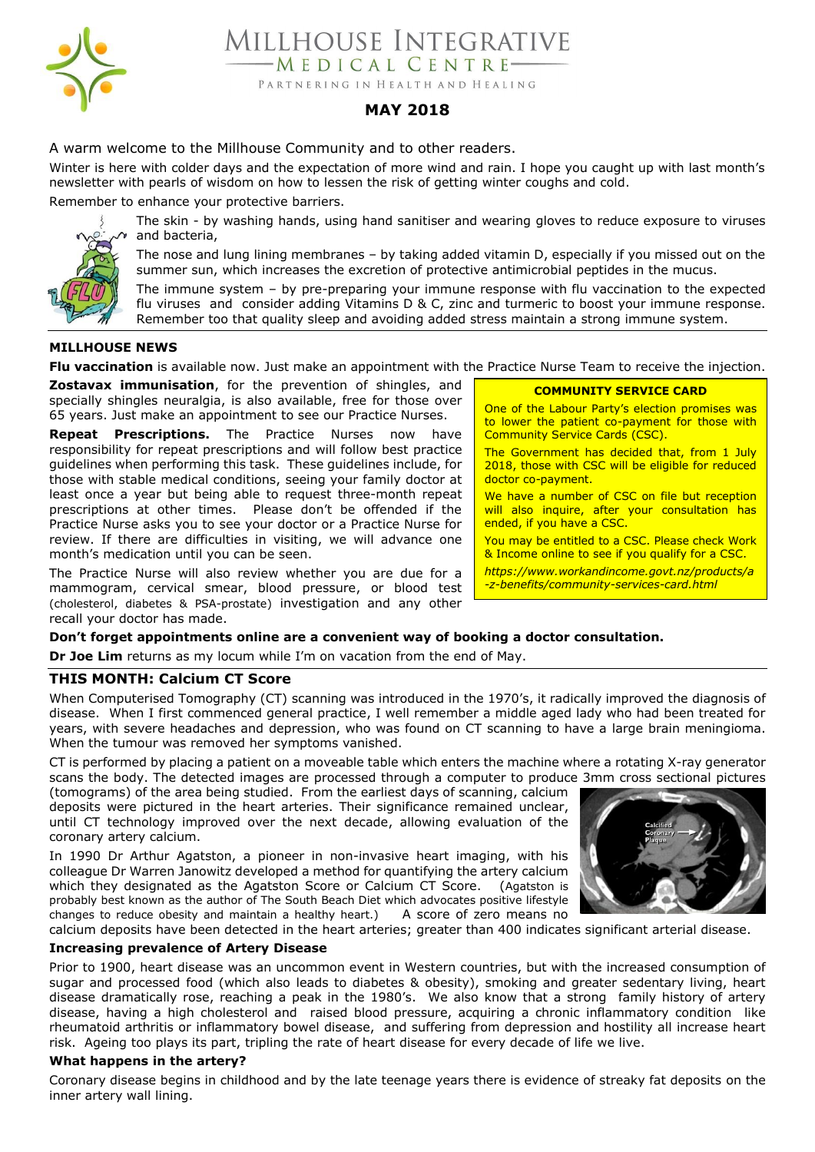

MILLHOUSE INTEGRATIVE MEDICAL CENTRE-

PARTNERING IN HEALTH AND HEALING

# **MAY 2018**

A warm welcome to the Millhouse Community and to other readers.

Winter is here with colder days and the expectation of more wind and rain. I hope you caught up with last month's newsletter with pearls of wisdom on how to lessen the risk of getting winter coughs and cold.

Remember to enhance your protective barriers.



The skin - by washing hands, using hand sanitiser and wearing gloves to reduce exposure to viruses and bacteria,

The nose and lung lining membranes – by taking added vitamin D, especially if you missed out on the summer sun, which increases the excretion of protective antimicrobial peptides in the mucus.

The immune system – by pre-preparing your immune response with flu vaccination to the expected flu viruses and consider adding Vitamins D & C, zinc and turmeric to boost your immune response. Remember too that quality sleep and avoiding added stress maintain a strong immune system.

*c*

# **MILLHOUSE NEWS**

**Flu vaccination** is available now. Just make an appointment with the Practice Nurse Team to receive the injection.

**Zostavax immunisation**, for the prevention of shingles, and specially shingles neuralgia, is also available, free for those over 65 years. Just make an appointment to see our Practice Nurses.

**Repeat Prescriptions.** The Practice Nurses now have responsibility for repeat prescriptions and will follow best practice guidelines when performing this task. These guidelines include, for those with stable medical conditions, seeing your family doctor at least once a year but being able to request three-month repeat prescriptions at other times. Please don't be offended if the Practice Nurse asks you to see your doctor or a Practice Nurse for review. If there are difficulties in visiting, we will advance one month's medication until you can be seen.

The Practice Nurse will also review whether you are due for a mammogram, cervical smear, blood pressure, or blood test (cholesterol, diabetes & PSA-prostate) investigation and any other recall your doctor has made.

#### **COMMUNITY SERVICE CARD**

One of the Labour Party's election promises was to lower the patient co-payment for those with Community Service Cards (CSC).

The Government has decided that, from 1 July 2018, those with CSC will be eligible for reduced doctor co-payment.

We have a number of CSC on file but reception will also inquire, after your consultation has ended, if you have a CSC.

You may be entitled to a CSC. Please check Work & Income online to see if you qualify for a CSC.

*https://www.workandincome.govt.nz/products/a*

*-z-benefits/community-services-card.html*

# **Don't forget appointments online are a convenient way of booking a doctor consultation.**

**Dr Joe Lim** returns as my locum while I'm on vacation from the end of May.

# **THIS MONTH: Calcium CT Score**

When Computerised Tomography (CT) scanning was introduced in the 1970's, it radically improved the diagnosis of disease. When I first commenced general practice, I well remember a middle aged lady who had been treated for years, with severe headaches and depression, who was found on CT scanning to have a large brain meningioma. When the tumour was removed her symptoms vanished.

CT is performed by placing a patient on a moveable table which enters the machine where a rotating X-ray generator scans the body. The detected images are processed through a computer to produce 3mm cross sectional pictures

(tomograms) of the area being studied. From the earliest days of scanning, calcium deposits were pictured in the heart arteries. Their significance remained unclear, until CT technology improved over the next decade, allowing evaluation of the coronary artery calcium.

In 1990 Dr Arthur Agatston, a pioneer in non-invasive heart imaging, with his colleague Dr Warren Janowitz developed a method for quantifying the artery calcium which they designated as the Agatston Score or Calcium CT Score. (Agatston is probably best known as the author of The South Beach Diet which advocates positive lifestyle changes to reduce obesity and maintain a healthy heart.) A score of zero means no



calcium deposits have been detected in the heart arteries; greater than 400 indicates significant arterial disease.

#### **Increasing prevalence of Artery Disease**

Prior to 1900, heart disease was an uncommon event in Western countries, but with the increased consumption of sugar and processed food (which also leads to diabetes & obesity), smoking and greater sedentary living, heart disease dramatically rose, reaching a peak in the 1980's. We also know that a strong family history of artery disease, having a high cholesterol and raised blood pressure, acquiring a chronic inflammatory condition like rheumatoid arthritis or inflammatory bowel disease, and suffering from depression and hostility all increase heart risk. Ageing too plays its part, tripling the rate of heart disease for every decade of life we live.

# **What happens in the artery?**

Coronary disease begins in childhood and by the late teenage years there is evidence of streaky fat deposits on the inner artery wall lining.